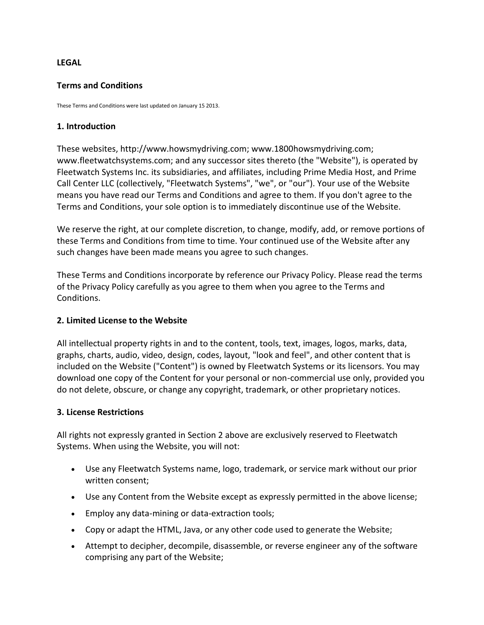#### **LEGAL**

#### **Terms and Conditions**

These Terms and Conditions were last updated on January 15 2013.

#### **1. Introduction**

These websites, http://www.howsmydriving.com; www.1800howsmydriving.com; www.fleetwatchsystems.com; and any successor sites thereto (the "Website"), is operated by Fleetwatch Systems Inc. its subsidiaries, and affiliates, including Prime Media Host, and Prime Call Center LLC (collectively, "Fleetwatch Systems", "we", or "our"). Your use of the Website means you have read our Terms and Conditions and agree to them. If you don't agree to the Terms and Conditions, your sole option is to immediately discontinue use of the Website.

We reserve the right, at our complete discretion, to change, modify, add, or remove portions of these Terms and Conditions from time to time. Your continued use of the Website after any such changes have been made means you agree to such changes.

These Terms and Conditions incorporate by reference our Privacy Policy. Please read the terms of the Privacy Policy carefully as you agree to them when you agree to the Terms and Conditions.

### **2. Limited License to the Website**

All intellectual property rights in and to the content, tools, text, images, logos, marks, data, graphs, charts, audio, video, design, codes, layout, "look and feel", and other content that is included on the Website ("Content") is owned by Fleetwatch Systems or its licensors. You may download one copy of the Content for your personal or non-commercial use only, provided you do not delete, obscure, or change any copyright, trademark, or other proprietary notices.

#### **3. License Restrictions**

All rights not expressly granted in Section 2 above are exclusively reserved to Fleetwatch Systems. When using the Website, you will not:

- Use any Fleetwatch Systems name, logo, trademark, or service mark without our prior written consent;
- Use any Content from the Website except as expressly permitted in the above license;
- Employ any data-mining or data-extraction tools;
- Copy or adapt the HTML, Java, or any other code used to generate the Website;
- Attempt to decipher, decompile, disassemble, or reverse engineer any of the software comprising any part of the Website;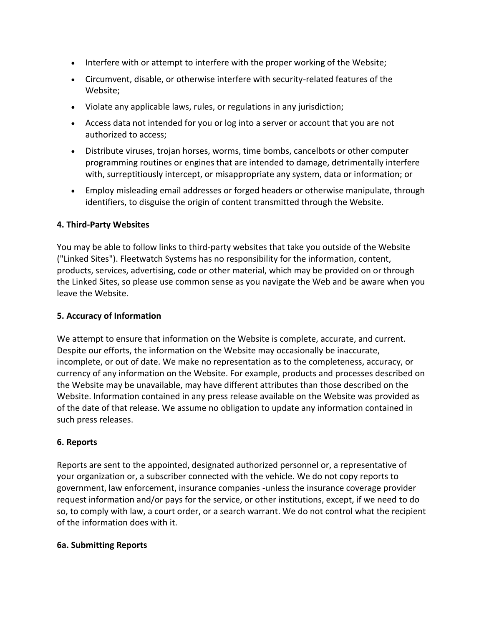- Interfere with or attempt to interfere with the proper working of the Website;
- Circumvent, disable, or otherwise interfere with security-related features of the Website;
- Violate any applicable laws, rules, or regulations in any jurisdiction;
- Access data not intended for you or log into a server or account that you are not authorized to access;
- Distribute viruses, trojan horses, worms, time bombs, cancelbots or other computer programming routines or engines that are intended to damage, detrimentally interfere with, surreptitiously intercept, or misappropriate any system, data or information; or
- Employ misleading email addresses or forged headers or otherwise manipulate, through identifiers, to disguise the origin of content transmitted through the Website.

#### **4. Third-Party Websites**

You may be able to follow links to third-party websites that take you outside of the Website ("Linked Sites"). Fleetwatch Systems has no responsibility for the information, content, products, services, advertising, code or other material, which may be provided on or through the Linked Sites, so please use common sense as you navigate the Web and be aware when you leave the Website.

#### **5. Accuracy of Information**

We attempt to ensure that information on the Website is complete, accurate, and current. Despite our efforts, the information on the Website may occasionally be inaccurate, incomplete, or out of date. We make no representation as to the completeness, accuracy, or currency of any information on the Website. For example, products and processes described on the Website may be unavailable, may have different attributes than those described on the Website. Information contained in any press release available on the Website was provided as of the date of that release. We assume no obligation to update any information contained in such press releases.

### **6. Reports**

Reports are sent to the appointed, designated authorized personnel or, a representative of your organization or, a subscriber connected with the vehicle. We do not copy reports to government, law enforcement, insurance companies -unless the insurance coverage provider request information and/or pays for the service, or other institutions, except, if we need to do so, to comply with law, a court order, or a search warrant. We do not control what the recipient of the information does with it.

#### **6a. Submitting Reports**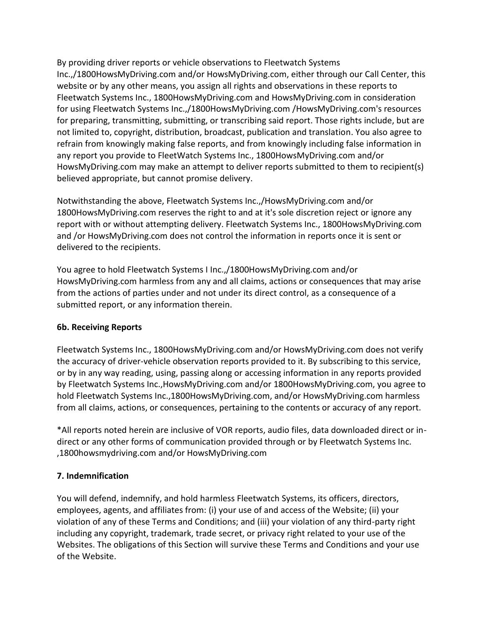By providing driver reports or vehicle observations to Fleetwatch Systems Inc.,/1800HowsMyDriving.com and/or HowsMyDriving.com, either through our Call Center, this website or by any other means, you assign all rights and observations in these reports to Fleetwatch Systems Inc., 1800HowsMyDriving.com and HowsMyDriving.com in consideration for using Fleetwatch Systems Inc.,/1800HowsMyDriving.com /HowsMyDriving.com's resources for preparing, transmitting, submitting, or transcribing said report. Those rights include, but are not limited to, copyright, distribution, broadcast, publication and translation. You also agree to refrain from knowingly making false reports, and from knowingly including false information in any report you provide to FleetWatch Systems Inc., 1800HowsMyDriving.com and/or HowsMyDriving.com may make an attempt to deliver reports submitted to them to recipient(s) believed appropriate, but cannot promise delivery.

Notwithstanding the above, Fleetwatch Systems Inc.,/HowsMyDriving.com and/or 1800HowsMyDriving.com reserves the right to and at it's sole discretion reject or ignore any report with or without attempting delivery. Fleetwatch Systems Inc., 1800HowsMyDriving.com and /or HowsMyDriving.com does not control the information in reports once it is sent or delivered to the recipients.

You agree to hold Fleetwatch Systems I Inc.,/1800HowsMyDriving.com and/or HowsMyDriving.com harmless from any and all claims, actions or consequences that may arise from the actions of parties under and not under its direct control, as a consequence of a submitted report, or any information therein.

### **6b. Receiving Reports**

Fleetwatch Systems Inc., 1800HowsMyDriving.com and/or HowsMyDriving.com does not verify the accuracy of driver-vehicle observation reports provided to it. By subscribing to this service, or by in any way reading, using, passing along or accessing information in any reports provided by Fleetwatch Systems Inc.,HowsMyDriving.com and/or 1800HowsMyDriving.com, you agree to hold Fleetwatch Systems Inc.,1800HowsMyDriving.com, and/or HowsMyDriving.com harmless from all claims, actions, or consequences, pertaining to the contents or accuracy of any report.

\*All reports noted herein are inclusive of VOR reports, audio files, data downloaded direct or indirect or any other forms of communication provided through or by Fleetwatch Systems Inc. ,1800howsmydriving.com and/or HowsMyDriving.com

### **7. Indemnification**

You will defend, indemnify, and hold harmless Fleetwatch Systems, its officers, directors, employees, agents, and affiliates from: (i) your use of and access of the Website; (ii) your violation of any of these Terms and Conditions; and (iii) your violation of any third-party right including any copyright, trademark, trade secret, or privacy right related to your use of the Websites. The obligations of this Section will survive these Terms and Conditions and your use of the Website.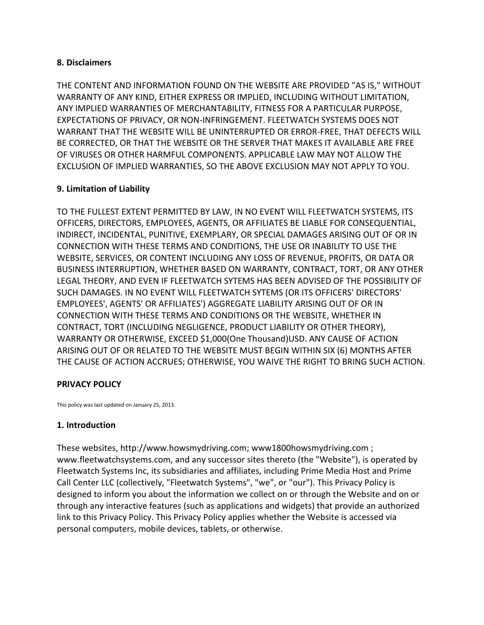#### **8. Disclaimers**

THE CONTENT AND INFORMATION FOUND ON THE WEBSITE ARE PROVIDED "AS IS," WITHOUT WARRANTY OF ANY KIND, EITHER EXPRESS OR IMPLIED, INCLUDING WITHOUT LIMITATION, ANY IMPLIED WARRANTIES OF MERCHANTABILITY, FITNESS FOR A PARTICULAR PURPOSE, EXPECTATIONS OF PRIVACY, OR NON-INFRINGEMENT. FLEETWATCH SYSTEMS DOES NOT WARRANT THAT THE WEBSITE WILL BE UNINTERRUPTED OR ERROR-FREE, THAT DEFECTS WILL BE CORRECTED, OR THAT THE WEBSITE OR THE SERVER THAT MAKES IT AVAILABLE ARE FREE OF VIRUSES OR OTHER HARMFUL COMPONENTS. APPLICABLE LAW MAY NOT ALLOW THE EXCLUSION OF IMPLIED WARRANTIES, SO THE ABOVE EXCLUSION MAY NOT APPLY TO YOU.

### **9. Limitation of Liability**

TO THE FULLEST EXTENT PERMITTED BY LAW, IN NO EVENT WILL FLEETWATCH SYSTEMS, ITS OFFICERS, DIRECTORS, EMPLOYEES, AGENTS, OR AFFILIATES BE LIABLE FOR CONSEQUENTIAL, INDIRECT, INCIDENTAL, PUNITIVE, EXEMPLARY, OR SPECIAL DAMAGES ARISING OUT OF OR IN CONNECTION WITH THESE TERMS AND CONDITIONS, THE USE OR INABILITY TO USE THE WEBSITE, SERVICES, OR CONTENT INCLUDING ANY LOSS OF REVENUE, PROFITS, OR DATA OR BUSINESS INTERRUPTION, WHETHER BASED ON WARRANTY, CONTRACT, TORT, OR ANY OTHER LEGAL THEORY, AND EVEN IF FLEETWATCH SYTEMS HAS BEEN ADVISED OF THE POSSIBILITY OF SUCH DAMAGES. IN NO EVENT WILL FLEETWATCH SYTEMS (OR ITS OFFICERS' DIRECTORS' EMPLOYEES', AGENTS' OR AFFILIATES') AGGREGATE LIABILITY ARISING OUT OF OR IN CONNECTION WITH THESE TERMS AND CONDITIONS OR THE WEBSITE, WHETHER IN CONTRACT, TORT (INCLUDING NEGLIGENCE, PRODUCT LIABILITY OR OTHER THEORY), WARRANTY OR OTHERWISE, EXCEED \$1,000(One Thousand)USD. ANY CAUSE OF ACTION ARISING OUT OF OR RELATED TO THE WEBSITE MUST BEGIN WITHIN SIX (6) MONTHS AFTER THE CAUSE OF ACTION ACCRUES; OTHERWISE, YOU WAIVE THE RIGHT TO BRING SUCH ACTION.

### **PRIVACY POLICY**

This policy was last updated on January 25, 2013.

### **1. Introduction**

These websites, http://www.howsmydriving.com; www1800howsmydriving.com ; www.fleetwatchsystems.com, and any successor sites thereto (the "Website"), is operated by Fleetwatch Systems Inc, its subsidiaries and affiliates, including Prime Media Host and Prime Call Center LLC (collectively, "Fleetwatch Systems", "we", or "our"). This Privacy Policy is designed to inform you about the information we collect on or through the Website and on or through any interactive features (such as applications and widgets) that provide an authorized link to this Privacy Policy. This Privacy Policy applies whether the Website is accessed via personal computers, mobile devices, tablets, or otherwise.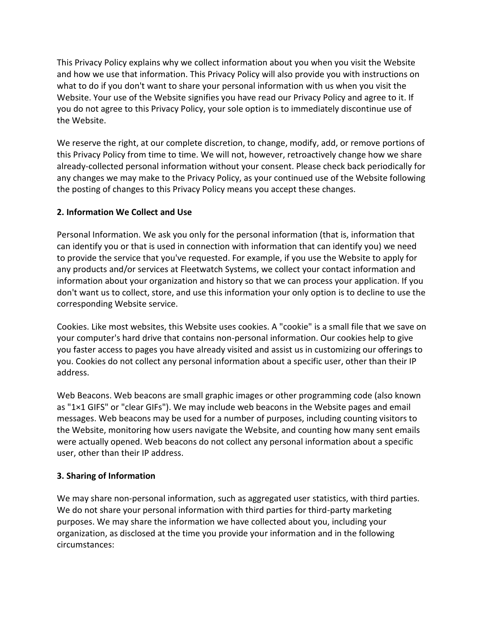This Privacy Policy explains why we collect information about you when you visit the Website and how we use that information. This Privacy Policy will also provide you with instructions on what to do if you don't want to share your personal information with us when you visit the Website. Your use of the Website signifies you have read our Privacy Policy and agree to it. If you do not agree to this Privacy Policy, your sole option is to immediately discontinue use of the Website.

We reserve the right, at our complete discretion, to change, modify, add, or remove portions of this Privacy Policy from time to time. We will not, however, retroactively change how we share already-collected personal information without your consent. Please check back periodically for any changes we may make to the Privacy Policy, as your continued use of the Website following the posting of changes to this Privacy Policy means you accept these changes.

## **2. Information We Collect and Use**

Personal Information. We ask you only for the personal information (that is, information that can identify you or that is used in connection with information that can identify you) we need to provide the service that you've requested. For example, if you use the Website to apply for any products and/or services at Fleetwatch Systems, we collect your contact information and information about your organization and history so that we can process your application. If you don't want us to collect, store, and use this information your only option is to decline to use the corresponding Website service.

Cookies. Like most websites, this Website uses cookies. A "cookie" is a small file that we save on your computer's hard drive that contains non-personal information. Our cookies help to give you faster access to pages you have already visited and assist us in customizing our offerings to you. Cookies do not collect any personal information about a specific user, other than their IP address.

Web Beacons. Web beacons are small graphic images or other programming code (also known as "1×1 GIFS" or "clear GIFs"). We may include web beacons in the Website pages and email messages. Web beacons may be used for a number of purposes, including counting visitors to the Website, monitoring how users navigate the Website, and counting how many sent emails were actually opened. Web beacons do not collect any personal information about a specific user, other than their IP address.

### **3. Sharing of Information**

We may share non-personal information, such as aggregated user statistics, with third parties. We do not share your personal information with third parties for third-party marketing purposes. We may share the information we have collected about you, including your organization, as disclosed at the time you provide your information and in the following circumstances: